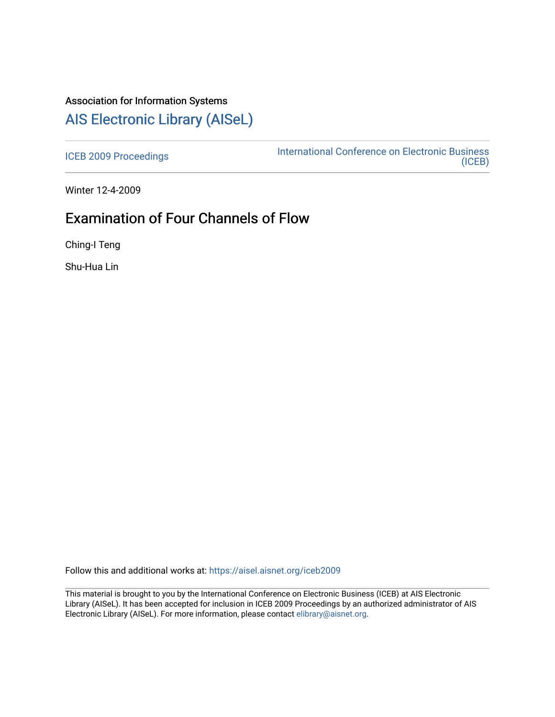## Association for Information Systems

# [AIS Electronic Library \(AISeL\)](https://aisel.aisnet.org/)

[ICEB 2009 Proceedings](https://aisel.aisnet.org/iceb2009) **International Conference on Electronic Business** [\(ICEB\)](https://aisel.aisnet.org/iceb) 

Winter 12-4-2009

## Examination of Four Channels of Flow

Ching-I Teng

Shu-Hua Lin

Follow this and additional works at: [https://aisel.aisnet.org/iceb2009](https://aisel.aisnet.org/iceb2009?utm_source=aisel.aisnet.org%2Ficeb2009%2F40&utm_medium=PDF&utm_campaign=PDFCoverPages)

This material is brought to you by the International Conference on Electronic Business (ICEB) at AIS Electronic Library (AISeL). It has been accepted for inclusion in ICEB 2009 Proceedings by an authorized administrator of AIS Electronic Library (AISeL). For more information, please contact [elibrary@aisnet.org.](mailto:elibrary@aisnet.org%3E)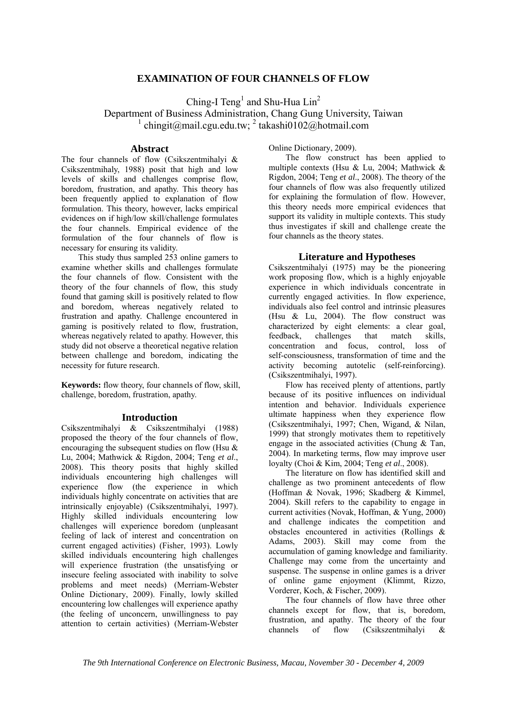## **EXAMINATION OF FOUR CHANNELS OF FLOW**

Ching-I Teng<sup>1</sup> and Shu-Hua  $\text{Lin}^2$ 

Department of Business Administration, Chang Gung University, Taiwan  $\frac{1}{2}$  chingit@mail.cgu.edu.tw;  $\frac{2}{3}$  takashi0102@hotmail.com

#### **Abstract**

The four channels of flow (Csikszentmihalyi & Csikszentmihaly, 1988) posit that high and low levels of skills and challenges comprise flow, boredom, frustration, and apathy. This theory has been frequently applied to explanation of flow formulation. This theory, however, lacks empirical evidences on if high/low skill/challenge formulates the four channels. Empirical evidence of the formulation of the four channels of flow is necessary for ensuring its validity.

This study thus sampled 253 online gamers to examine whether skills and challenges formulate the four channels of flow. Consistent with the theory of the four channels of flow, this study found that gaming skill is positively related to flow and boredom, whereas negatively related to frustration and apathy. Challenge encountered in gaming is positively related to flow, frustration, whereas negatively related to apathy. However, this study did not observe a theoretical negative relation between challenge and boredom, indicating the necessity for future research.

**Keywords:** flow theory, four channels of flow, skill, challenge, boredom, frustration, apathy.

#### **Introduction**

Csikszentmihalyi & Csikszentmihalyi (1988) proposed the theory of the four channels of flow, encouraging the subsequent studies on flow (Hsu  $\&$ Lu, 2004; Mathwick & Rigdon, 2004; Teng *et al*., 2008). This theory posits that highly skilled individuals encountering high challenges will experience flow (the experience in which individuals highly concentrate on activities that are intrinsically enjoyable) (Csikszentmihalyi, 1997). Highly skilled individuals encountering low challenges will experience boredom (unpleasant feeling of lack of interest and concentration on current engaged activities) (Fisher, 1993). Lowly skilled individuals encountering high challenges will experience frustration (the unsatisfying or insecure feeling associated with inability to solve problems and meet needs) (Merriam-Webster Online Dictionary, 2009). Finally, lowly skilled encountering low challenges will experience apathy (the feeling of unconcern, unwillingness to pay attention to certain activities) (Merriam-Webster Online Dictionary, 2009).

The flow construct has been applied to multiple contexts (Hsu & Lu, 2004; Mathwick & Rigdon, 2004; Teng *et al*., 2008). The theory of the four channels of flow was also frequently utilized for explaining the formulation of flow. However, this theory needs more empirical evidences that support its validity in multiple contexts. This study thus investigates if skill and challenge create the four channels as the theory states.

#### **Literature and Hypotheses**

Csikszentmihalyi (1975) may be the pioneering work proposing flow, which is a highly enjoyable experience in which individuals concentrate in currently engaged activities. In flow experience, individuals also feel control and intrinsic pleasures (Hsu & Lu, 2004). The flow construct was characterized by eight elements: a clear goal, feedback, challenges that match skills, concentration and focus, control, loss of self-consciousness, transformation of time and the activity becoming autotelic (self-reinforcing). (Csikszentmihalyi, 1997).

Flow has received plenty of attentions, partly because of its positive influences on individual intention and behavior. Individuals experience ultimate happiness when they experience flow (Csikszentmihalyi, 1997; Chen, Wigand, & Nilan, 1999) that strongly motivates them to repetitively engage in the associated activities (Chung  $\&$  Tan, 2004). In marketing terms, flow may improve user loyalty (Choi & Kim, 2004; Teng *et al*., 2008).

The literature on flow has identified skill and challenge as two prominent antecedents of flow (Hoffman & Novak, 1996; Skadberg & Kimmel, 2004). Skill refers to the capability to engage in current activities (Novak, Hoffman, & Yung, 2000) and challenge indicates the competition and obstacles encountered in activities (Rollings & Adams, 2003). Skill may come from the accumulation of gaming knowledge and familiarity. Challenge may come from the uncertainty and suspense. The suspense in online games is a driver of online game enjoyment (Klimmt, Rizzo, Vorderer, Koch, & Fischer, 2009).

The four channels of flow have three other channels except for flow, that is, boredom, frustration, and apathy. The theory of the four channels of flow (Csikszentmihalyi &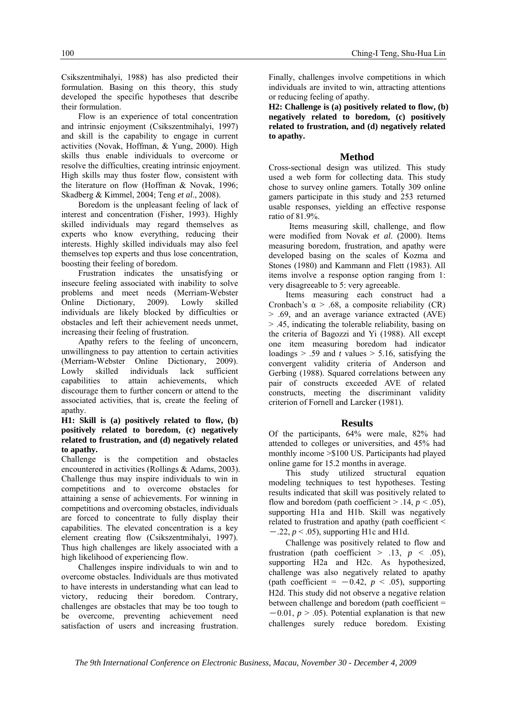Csikszentmihalyi, 1988) has also predicted their formulation. Basing on this theory, this study developed the specific hypotheses that describe their formulation.

Flow is an experience of total concentration and intrinsic enjoyment (Csikszentmihalyi, 1997) and skill is the capability to engage in current activities (Novak, Hoffman, & Yung, 2000). High skills thus enable individuals to overcome or resolve the difficulties, creating intrinsic enjoyment. High skills may thus foster flow, consistent with the literature on flow (Hoffman & Novak, 1996; Skadberg & Kimmel, 2004; Teng *et al*., 2008).

Boredom is the unpleasant feeling of lack of interest and concentration (Fisher, 1993). Highly skilled individuals may regard themselves as experts who know everything, reducing their interests. Highly skilled individuals may also feel themselves top experts and thus lose concentration, boosting their feeling of boredom.

Frustration indicates the unsatisfying or insecure feeling associated with inability to solve problems and meet needs (Merriam-Webster Online Dictionary, 2009). Lowly skilled individuals are likely blocked by difficulties or obstacles and left their achievement needs unmet, increasing their feeling of frustration.

Apathy refers to the feeling of unconcern, unwillingness to pay attention to certain activities (Merriam-Webster Online Dictionary, 2009). Lowly skilled individuals lack sufficient capabilities to attain achievements, which discourage them to further concern or attend to the associated activities, that is, create the feeling of apathy.

#### **H1: Skill is (a) positively related to flow, (b) positively related to boredom, (c) negatively related to frustration, and (d) negatively related to apathy.**

Challenge is the competition and obstacles encountered in activities (Rollings & Adams, 2003). Challenge thus may inspire individuals to win in competitions and to overcome obstacles for attaining a sense of achievements. For winning in competitions and overcoming obstacles, individuals are forced to concentrate to fully display their capabilities. The elevated concentration is a key element creating flow (Csikszentmihalyi, 1997). Thus high challenges are likely associated with a high likelihood of experiencing flow.

Challenges inspire individuals to win and to overcome obstacles. Individuals are thus motivated to have interests in understanding what can lead to victory, reducing their boredom. Contrary, challenges are obstacles that may be too tough to be overcome, preventing achievement need satisfaction of users and increasing frustration.

Finally, challenges involve competitions in which individuals are invited to win, attracting attentions or reducing feeling of apathy.

**H2: Challenge is (a) positively related to flow, (b) negatively related to boredom, (c) positively related to frustration, and (d) negatively related to apathy.** 

### **Method**

Cross-sectional design was utilized. This study used a web form for collecting data. This study chose to survey online gamers. Totally 309 online gamers participate in this study and 253 returned usable responses, yielding an effective response ratio of 81.9%.

Items measuring skill, challenge, and flow were modified from Novak *et al*. (2000). Items measuring boredom, frustration, and apathy were developed basing on the scales of Kozma and Stones (1980) and Kammann and Flett (1983). All items involve a response option ranging from 1: very disagreeable to 5: very agreeable.

Items measuring each construct had a Cronbach's  $\alpha$  > .68, a composite reliability (CR) > .69, and an average variance extracted (AVE) > .45, indicating the tolerable reliability, basing on the criteria of Bagozzi and Yi (1988). All except one item measuring boredom had indicator loadings  $> .59$  and *t* values  $> 5.16$ , satisfying the convergent validity criteria of Anderson and Gerbing (1988). Squared correlations between any pair of constructs exceeded AVE of related constructs, meeting the discriminant validity criterion of Fornell and Larcker (1981).

## **Results**

Of the participants, 64% were male, 82% had attended to colleges or universities, and 45% had monthly income >\$100 US. Participants had played online game for 15.2 months in average.

This study utilized structural equation modeling techniques to test hypotheses. Testing results indicated that skill was positively related to flow and boredom (path coefficient  $> .14, p < .05$ ), supporting H1a and H1b. Skill was negatively related to frustration and apathy (path coefficient <  $-.22, p < .05$ ), supporting H1c and H1d.

Challenge was positively related to flow and frustration (path coefficient  $>$  .13,  $p <$  .05), supporting H2a and H2c. As hypothesized, challenge was also negatively related to apathy (path coefficient =  $-0.42$ ,  $p \leq .05$ ), supporting H2d. This study did not observe a negative relation between challenge and boredom (path coefficient =  $-0.01$ ,  $p > .05$ ). Potential explanation is that new challenges surely reduce boredom. Existing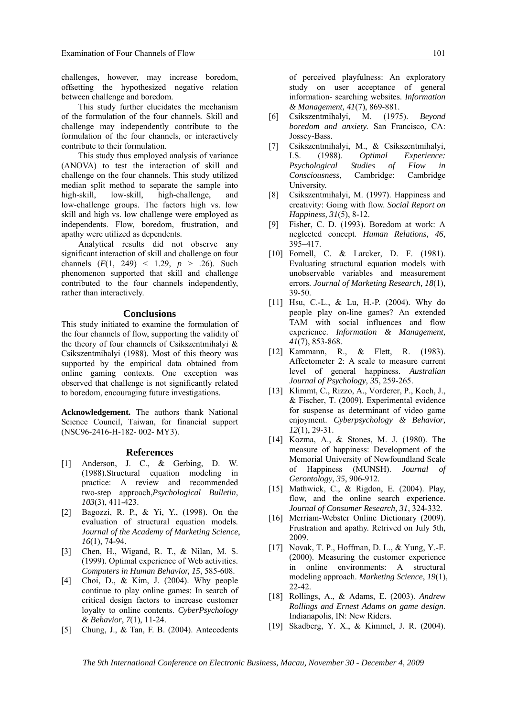challenges, however, may increase boredom, offsetting the hypothesized negative relation between challenge and boredom.

This study further elucidates the mechanism of the formulation of the four channels. Skill and challenge may independently contribute to the formulation of the four channels, or interactively contribute to their formulation.

This study thus employed analysis of variance (ANOVA) to test the interaction of skill and challenge on the four channels. This study utilized median split method to separate the sample into high-skill, low-skill, high-challenge, and low-challenge groups. The factors high vs. low skill and high vs. low challenge were employed as independents. Flow, boredom, frustration, and apathy were utilized as dependents.

Analytical results did not observe any significant interaction of skill and challenge on four channels  $(F(1, 249) < 1.29, p > .26)$ . Such phenomenon supported that skill and challenge contributed to the four channels independently, rather than interactively.

#### **Conclusions**

This study initiated to examine the formulation of the four channels of flow, supporting the validity of the theory of four channels of Csikszentmihalyi & Csikszentmihalyi (1988). Most of this theory was supported by the empirical data obtained from online gaming contexts. One exception was observed that challenge is not significantly related to boredom, encouraging future investigations.

**Acknowledgement.** The authors thank National Science Council, Taiwan, for financial support (NSC96-2416-H-182- 002- MY3).

#### **References**

- [1] Anderson, J. C., & Gerbing, D. W. (1988).Structural equation modeling in practice: A review and recommended two-step approach,*Psychological Bulletin*, *103*(3), 411-423.
- [2] Bagozzi, R. P., & Yi, Y., (1998). On the evaluation of structural equation models. *Journal of the Academy of Marketing Science*, *16*(1), 74-94.
- [3] Chen, H., Wigand, R. T., & Nilan, M. S. (1999). Optimal experience of Web activities. *Computers in Human Behavior, 15*, 585-608.
- [4] Choi, D., & Kim, J. (2004). Why people continue to play online games: In search of critical design factors to increase customer loyalty to online contents. *CyberPsychology & Behavior*, *7*(1), 11-24.
- [5] Chung, J., & Tan, F. B. (2004). Antecedents

of perceived playfulness: An exploratory study on user acceptance of general information- searching websites. *Information & Management, 41*(7), 869-881.

- [6] Csikszentmihalyi, M. (1975). *Beyond boredom and anxiety*. San Francisco, CA: Jossey-Bass.
- [7] Csikszentmihalyi, M., & Csikszentmihalyi, I.S. (1988). *Optimal Experience: Psychological Studies of Flow in Consciousness*, Cambridge: Cambridge University.
- [8] Csikszentmihalyi, M. (1997). Happiness and creativity: Going with flow. *Social Report on Happiness, 31*(5), 8-12.
- [9] Fisher, C. D. (1993). Boredom at work: A neglected concept. *Human Relations, 46*, 395–417.
- [10] Fornell, C. & Larcker, D. F. (1981). Evaluating structural equation models with unobservable variables and measurement errors. *Journal of Marketing Research, 18*(1), 39-50.
- [11] Hsu, C.-L., & Lu, H.-P. (2004). Why do people play on-line games? An extended TAM with social influences and flow experience. *Information & Management, 41*(7), 853-868.
- [12] Kammann, R., & Flett, R. (1983). Affectometer 2: A scale to measure current level of general happiness. *Australian Journal of Psychology*, *35*, 259-265.
- [13] Klimmt, C., Rizzo, A., Vorderer, P., Koch, J., & Fischer, T. (2009). Experimental evidence for suspense as determinant of video game enjoyment. *Cyberpsychology & Behavior, 12*(1), 29-31.
- [14] Kozma, A., & Stones, M. J. (1980). The measure of happiness: Development of the Memorial University of Newfoundland Scale of Happiness (MUNSH). *Journal of Gerontology*, *35*, 906-912.
- [15] Mathwick, C., & Rigdon, E. (2004). Play, flow, and the online search experience. *Journal of Consumer Research, 31*, 324-332.
- [16] Merriam-Webster Online Dictionary (2009). Frustration and apathy. Retrived on July 5th, 2009.
- [17] Novak, T. P., Hoffman, D. L., & Yung, Y.-F. (2000). Measuring the customer experience in online environments: A structural modeling approach. *Marketing Science*, *19*(1), 22-42.
- [18] Rollings, A., & Adams, E. (2003). *Andrew Rollings and Ernest Adams on game design*. Indianapolis, IN: New Riders.
- [19] Skadberg, Y. X., & Kimmel, J. R. (2004).